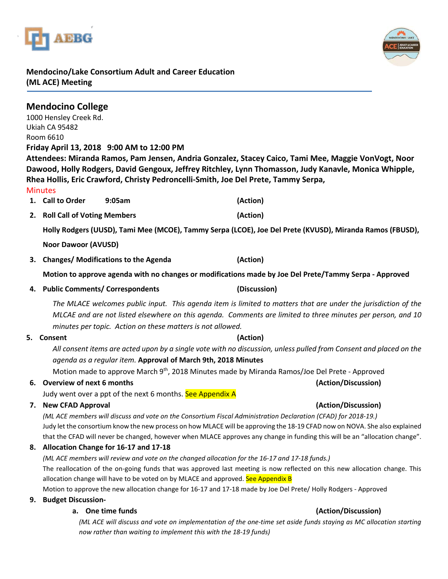



## **Mendocino/Lake Consortium Adult and Career Education (ML ACE) Meeting**

|    | <b>Mendocino College</b><br>1000 Hensley Creek Rd.<br>Ukiah CA 95482<br>Room 6610<br><b>Minutes</b>                                                                                                                                                                                         | Friday April 13, 2018 9:00 AM to 12:00 PM   | Attendees: Miranda Ramos, Pam Jensen, Andria Gonzalez, Stacey Caico, Tami Mee, Maggie VonVogt, Noor<br>Dawood, Holly Rodgers, David Gengoux, Jeffrey Ritchley, Lynn Thomasson, Judy Kanavle, Monica Whipple,<br>Rhea Hollis, Eric Crawford, Christy Pedroncelli-Smith, Joe Del Prete, Tammy Serpa, |  |  |  |  |  |  |
|----|---------------------------------------------------------------------------------------------------------------------------------------------------------------------------------------------------------------------------------------------------------------------------------------------|---------------------------------------------|----------------------------------------------------------------------------------------------------------------------------------------------------------------------------------------------------------------------------------------------------------------------------------------------------|--|--|--|--|--|--|
|    | 1. Call to Order                                                                                                                                                                                                                                                                            | 9:05am                                      | (Action)                                                                                                                                                                                                                                                                                           |  |  |  |  |  |  |
| 2. | <b>Roll Call of Voting Members</b>                                                                                                                                                                                                                                                          |                                             | (Action)                                                                                                                                                                                                                                                                                           |  |  |  |  |  |  |
|    |                                                                                                                                                                                                                                                                                             |                                             | Holly Rodgers (UUSD), Tami Mee (MCOE), Tammy Serpa (LCOE), Joe Del Prete (KVUSD), Miranda Ramos (FBUSD),                                                                                                                                                                                           |  |  |  |  |  |  |
|    | <b>Noor Dawoor (AVUSD)</b>                                                                                                                                                                                                                                                                  |                                             |                                                                                                                                                                                                                                                                                                    |  |  |  |  |  |  |
| З. |                                                                                                                                                                                                                                                                                             | <b>Changes/ Modifications to the Agenda</b> | (Action)                                                                                                                                                                                                                                                                                           |  |  |  |  |  |  |
|    |                                                                                                                                                                                                                                                                                             |                                             | Motion to approve agenda with no changes or modifications made by Joe Del Prete/Tammy Serpa - Approved                                                                                                                                                                                             |  |  |  |  |  |  |
|    | 4. Public Comments/ Correspondents                                                                                                                                                                                                                                                          |                                             | (Discussion)                                                                                                                                                                                                                                                                                       |  |  |  |  |  |  |
|    | The MLACE welcomes public input. This agenda item is limited to matters that are under the jurisdiction of the<br>MLCAE and are not listed elsewhere on this agenda. Comments are limited to three minutes per person, and 10<br>minutes per topic. Action on these matters is not allowed. |                                             |                                                                                                                                                                                                                                                                                                    |  |  |  |  |  |  |
|    | 5. Consent                                                                                                                                                                                                                                                                                  |                                             | (Action)                                                                                                                                                                                                                                                                                           |  |  |  |  |  |  |
|    | All consent items are acted upon by a single vote with no discussion, unless pulled from Consent and placed on the                                                                                                                                                                          |                                             |                                                                                                                                                                                                                                                                                                    |  |  |  |  |  |  |
|    | agenda as a regular item. Approval of March 9th, 2018 Minutes<br>Motion made to approve March 9 <sup>th</sup> , 2018 Minutes made by Miranda Ramos/Joe Del Prete - Approved                                                                                                                 |                                             |                                                                                                                                                                                                                                                                                                    |  |  |  |  |  |  |
|    | 6. Overview of next 6 months                                                                                                                                                                                                                                                                |                                             | (Action/Discussion)                                                                                                                                                                                                                                                                                |  |  |  |  |  |  |
|    | Judy went over a ppt of the next 6 months. See Appendix A                                                                                                                                                                                                                                   |                                             |                                                                                                                                                                                                                                                                                                    |  |  |  |  |  |  |
| 7. | <b>New CFAD Approval</b>                                                                                                                                                                                                                                                                    |                                             | (Action/Discussion)                                                                                                                                                                                                                                                                                |  |  |  |  |  |  |
|    | (ML ACE members will discuss and vote on the Consortium Fiscal Administration Declaration (CFAD) for 2018-19.)<br>Judy let the consortium know the new process on how MLACE will be approving the 18-19 CFAD now on NOVA. She also explained                                                |                                             |                                                                                                                                                                                                                                                                                                    |  |  |  |  |  |  |
|    | that the CFAD will never be changed, however when MLACE approves any change in funding this will be an "allocation change".                                                                                                                                                                 |                                             |                                                                                                                                                                                                                                                                                                    |  |  |  |  |  |  |
| 8. |                                                                                                                                                                                                                                                                                             |                                             |                                                                                                                                                                                                                                                                                                    |  |  |  |  |  |  |
|    | (ML ACE members will review and vote on the changed allocation for the 16-17 and 17-18 funds.)                                                                                                                                                                                              |                                             |                                                                                                                                                                                                                                                                                                    |  |  |  |  |  |  |
|    | The reallocation of the on-going funds that was approved last meeting is now reflected on this new allocation change. This<br>allocation change will have to be voted on by MLACE and approved. See Appendix B                                                                              |                                             |                                                                                                                                                                                                                                                                                                    |  |  |  |  |  |  |
|    | Motion to approve the new allocation change for 16-17 and 17-18 made by Joe Del Prete/ Holly Rodgers - Approved                                                                                                                                                                             |                                             |                                                                                                                                                                                                                                                                                                    |  |  |  |  |  |  |
| 9. | <b>Budget Discussion-</b>                                                                                                                                                                                                                                                                   |                                             |                                                                                                                                                                                                                                                                                                    |  |  |  |  |  |  |
|    |                                                                                                                                                                                                                                                                                             | a. One time funds                           | (Action/Discussion)                                                                                                                                                                                                                                                                                |  |  |  |  |  |  |
|    | (ML ACE will discuss and vote on implementation of the one-time set aside funds staying as MC allocation starting<br>now rather than waiting to implement this with the 18-19 funds)                                                                                                        |                                             |                                                                                                                                                                                                                                                                                                    |  |  |  |  |  |  |
|    |                                                                                                                                                                                                                                                                                             |                                             |                                                                                                                                                                                                                                                                                                    |  |  |  |  |  |  |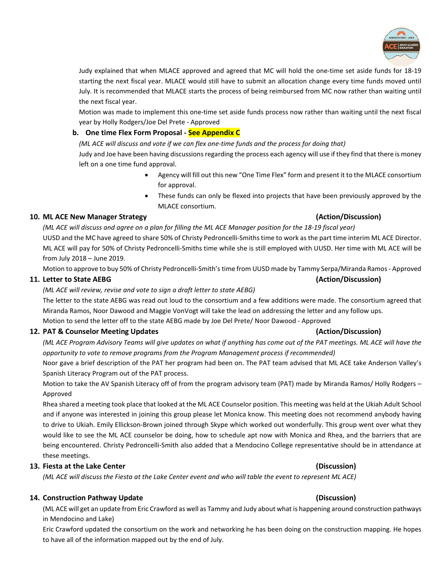

Judy explained that when MLACE approved and agreed that MC will hold the one-time set aside funds for 18-19 starting the next fiscal year. MLACE would still have to submit an allocation change every time funds moved until July. It is recommended that MLACE starts the process of being reimbursed from MC now rather than waiting until the next fiscal year.

Motion was made to implement this one-time set aside funds process now rather than waiting until the next fiscal year by Holly Rodgers/Joe Del Prete - Approved

## **b. One time Flex Form Proposal - See Appendix C**

*(ML ACE will discuss and vote if we can flex one-time funds and the process for doing that)* Judy and Joe have been having discussions regarding the process each agency will use if they find that there is money left on a one time fund approval.

- Agency will fill out this new "One Time Flex" form and present it to the MLACE consortium for approval.
- These funds can only be flexed into projects that have been previously approved by the MLACE consortium.

## **10. ML ACE New Manager Strategy (Action/Discussion)**

*(ML ACE will discuss and agree on a plan for filling the ML ACE Manager position for the 18-19 fiscal year)* UUSD and the MC have agreed to share 50% of Christy Pedroncelli-Smiths time to work as the part time interim ML ACE Director.

ML ACE will pay for 50% of Christy Pedroncelli-Smiths time while she is still employed with UUSD. Her time with ML ACE will be from July 2018 – June 2019.

Motion to approve to buy 50% of Christy Pedroncelli-Smith's time from UUSD made by Tammy Serpa/Miranda Ramos - Approved

## **11. Letter to State AEBG (Action/Discussion)**

## *(ML ACE will review, revise and vote to sign a draft letter to state AEBG)*

The letter to the state AEBG was read out loud to the consortium and a few additions were made. The consortium agreed that Miranda Ramos, Noor Dawood and Maggie VonVogt will take the lead on addressing the letter and any follow ups. Motion to send the letter off to the state AEBG made by Joe Del Prete/ Noor Dawood - Approved

### **12. PAT & Counselor Meeting Updates (Action/Discussion)**

*(ML ACE Program Advisory Teams will give updates on what if anything has come out of the PAT meetings. ML ACE will have the opportunity to vote to remove programs from the Program Management process if recommended)*

Noor gave a brief description of the PAT her program had been on. The PAT team advised that ML ACE take Anderson Valley's Spanish Literacy Program out of the PAT process.

Motion to take the AV Spanish Literacy off of from the program advisory team (PAT) made by Miranda Ramos/ Holly Rodgers – Approved

Rhea shared a meeting took place that looked at the ML ACE Counselor position. This meeting was held at the Ukiah Adult School and if anyone was interested in joining this group please let Monica know. This meeting does not recommend anybody having to drive to Ukiah. Emily Ellickson-Brown joined through Skype which worked out wonderfully. This group went over what they would like to see the ML ACE counselor be doing, how to schedule apt now with Monica and Rhea, and the barriers that are being encountered. Christy Pedroncelli-Smith also added that a Mendocino College representative should be in attendance at these meetings.

## **13. Fiesta at the Lake Center (Discussion)**

*(ML ACE will discuss the Fiesta at the Lake Center event and who will table the event to represent ML ACE)*

## **14. Construction Pathway Update (Discussion)**

(ML ACE will get an update from Eric Crawford as well as Tammy and Judy about what is happening around construction pathways in Mendocino and Lake)

Eric Crawford updated the consortium on the work and networking he has been doing on the construction mapping. He hopes to have all of the information mapped out by the end of July.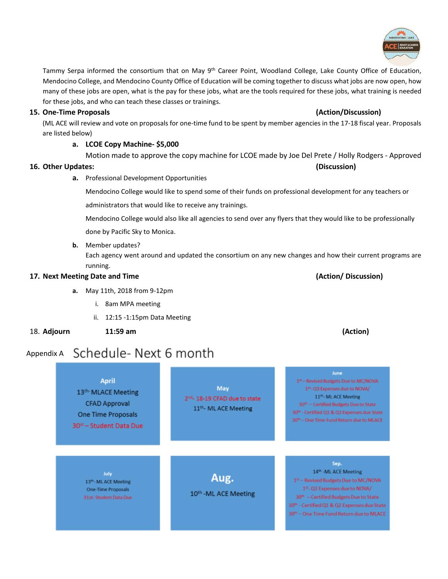

Tammy Serpa informed the consortium that on May 9<sup>th</sup> Career Point, Woodland College, Lake County Office of Education, Mendocino College, and Mendocino County Office of Education will be coming together to discuss what jobs are now open, how many of these jobs are open, what is the pay for these jobs, what are the tools required for these jobs, what training is needed for these jobs, and who can teach these classes or trainings.

## **15. One-Time Proposals (Action/Discussion)**

(ML ACE will review and vote on proposals for one-time fund to be spent by member agencies in the 17-18 fiscal year. Proposals are listed below)

## **a. LCOE Copy Machine- \$5,000**

Motion made to approve the copy machine for LCOE made by Joe Del Prete / Holly Rodgers - Approved

## **16. Other Updates: (Discussion)**

**a.** Professional Development Opportunities

Mendocino College would like to spend some of their funds on professional development for any teachers or administrators that would like to receive any trainings.

Mendocino College would also like all agencies to send over any flyers that they would like to be professionally done by Pacific Sky to Monica.

## **b.** Member updates?

Each agency went around and updated the consortium on any new changes and how their current programs are running.

## **17. Next Meeting Date and Time (Action/ Discussion)**

- **a.** May 11th, 2018 from 9-12pm
	- i. 8am MPA meeting
	- ii. 12:15 -1:15pm Data Meeting
- 18. **Adjourn 11:59 am (Action)**
	-

31st-Student Data Due

## Appendix A Schedule-Next 6 month

June **April** 1st-Revised Budgets Due to MC/NOVA May 1st- Q3 Expenses due to NOVA/ 13th-MLACE Meeting 11th-ML ACE Meeting 2<sup>nd</sup>- 18-19 CFAD due to state **CFAD Approval** 30th - Certified Budgets Due to State 11th- ML ACE Meeting 30th - Certified Q1 & Q2 Expenses due State One Time Proposals 30th - One Time Fund Return due to MLACE 30<sup>st</sup> - Student Data Due Sep. 14<sup>th</sup> -ML ACE Meeting July Aug. 13th-ML ACE Meeting One-Time Proposals

10th -ML ACE Meeting

1st - Revised Budgets Due to MC/NOVA 1st-Q3 Expenses due to NOVA/ 30<sup>th</sup> - Certified Budgets Due to State 30th - Certified Q1 & Q2 Expenses due State 30th - One Time Fund Return due to MLACE